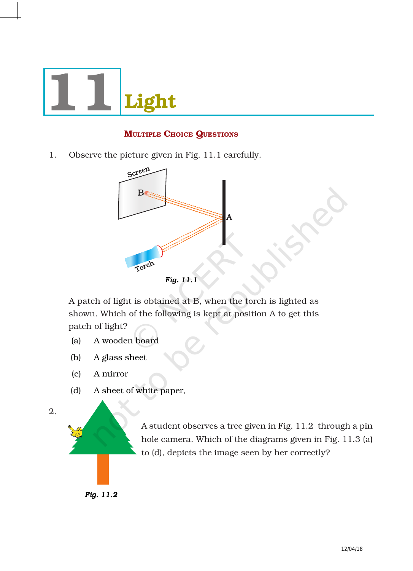

# **MULTIPLE CHOICE QUESTIONS**

1. Observe the picture given in Fig. 11.1 carefully.



A patch of light is obtained at B, when the torch is lighted as shown. Which of the following is kept at position A to get this patch of light?

- (a) A wooden board
- (b) A glass sheet
- (c) A mirror
- (d) A sheet of white paper,

2.

A student observes a tree given in Fig. 11.2 through a pin hole camera. Which of the diagrams given in Fig. 11.3 (a) to (d), depicts the image seen by her correctly?

 *Fig. 11.2*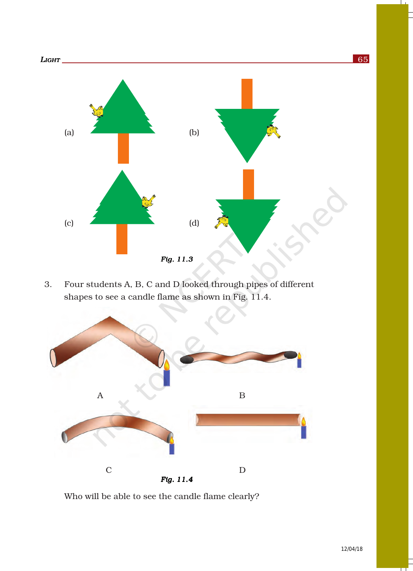

3. Four students A, B, C and D looked through pipes of different shapes to see a candle flame as shown in Fig. 11.4.



Who will be able to see the candle flame clearly?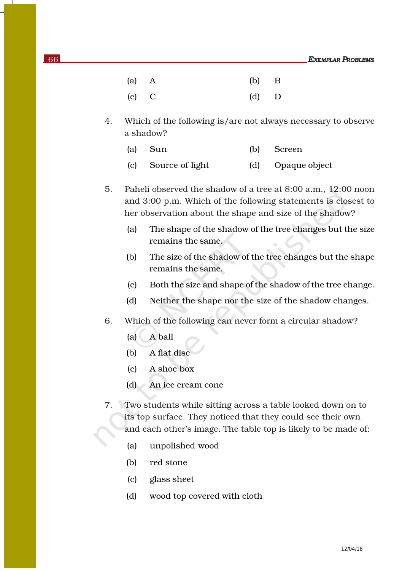- (a) A (b) B (c) C (d) D
- 4. Which of the following is/are not always necessary to observe a shadow?
	- (a) Sun (b) Screen
	- (c) Source of light (d) Opaque object
- 5. Paheli observed the shadow of a tree at 8:00 a.m., 12:00 noon and 3:00 p.m. Which of the following statements is closest to her observation about the shape and size of the shadow?
	- (a) The shape of the shadow of the tree changes but the size remains the same.
	- (b) The size of the shadow of the tree changes but the shape remains the same.
	- (c) Both the size and shape of the shadow of the tree change.
	- (d) Neither the shape nor the size of the shadow changes.
- 6. Which of the following can never form a circular shadow?
	- (a) A ball
	- (b) A flat disc
	- (c) A shoe box
	- (d) An ice cream cone
- 7. Two students while sitting across a table looked down on to its top surface. They noticed that they could see their own and each other's image. The table top is likely to be made of:
	- (a) unpolished wood
	- (b) red stone
	- (c) glass sheet
	- (d) wood top covered with cloth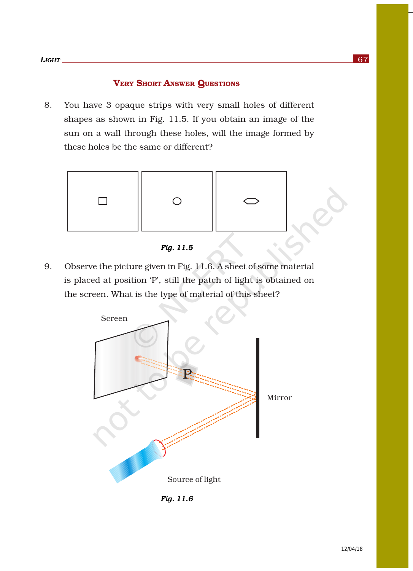### VERY SHORT ANSWER QUESTIONS

8. You have 3 opaque strips with very small holes of different shapes as shown in Fig. 11.5. If you obtain an image of the sun on a wall through these holes, will the image formed by these holes be the same or different?



*Fig. 11.5 Fig. 11.5Fig.* 

9. Observe the picture given in Fig. 11.6. A sheet of some material is placed at position 'P', still the patch of light is obtained on the screen. What is the type of material of this sheet?



*Fig. 11.6 Fig. 11.6Fig.*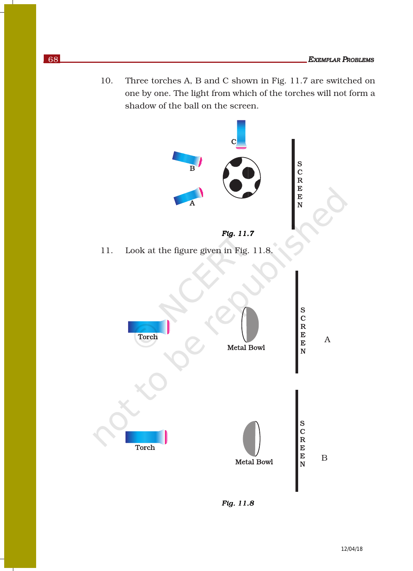10. Three torches A, B and C shown in Fig. 11.7 are switched on one by one. The light from which of the torches will not form a shadow of the ball on the screen.



 $Fig. 11.8$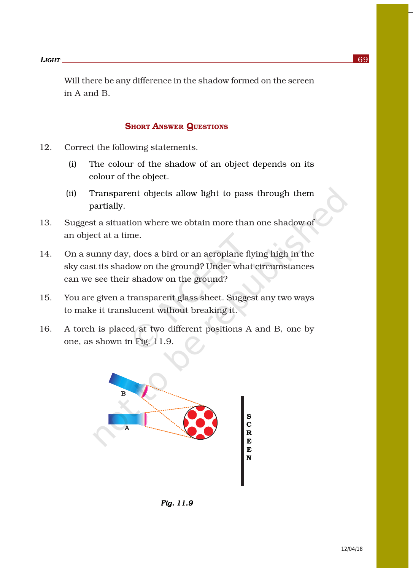Will there be any difference in the shadow formed on the screen in A and B.

#### **SHORT ANSWER QUESTIONS**

- 12. Correct the following statements.
	- (i) The colour of the shadow of an object depends on its colour of the object.
	- (ii) Transparent objects allow light to pass through them partially.
- 13. Suggest a situation where we obtain more than one shadow of an object at a time.
- 14. On a sunny day, does a bird or an aeroplane flying high in the sky cast its shadow on the ground? Under what circumstances can we see their shadow on the ground?
- 15. You are given a transparent glass sheet. Suggest any two ways to make it translucent without breaking it.
- 16. A torch is placed at two different positions A and B, one by one, as shown in Fig. 11.9.



*Fig. 11.9*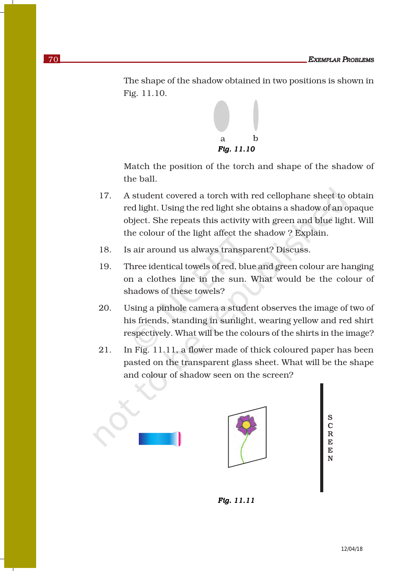The shape of the shadow obtained in two positions is shown in Fig. 11.10.

![](_page_6_Figure_2.jpeg)

Match the position of the torch and shape of the shadow of the ball.

- 17. A student covered a torch with red cellophane sheet to obtain red light. Using the red light she obtains a shadow of an opaque object. She repeats this activity with green and blue light. Will the colour of the light affect the shadow ? Explain.
- 18. Is air around us always transparent? Discuss.
- 19. Three identical towels of red, blue and green colour are hanging on a clothes line in the sun. What would be the colour of shadows of these towels?
- 20. Using a pinhole camera a student observes the image of two of his friends, standing in sunlight, wearing yellow and red shirt respectively. What will be the colours of the shirts in the image?
- 21. In Fig. 11.11, a flower made of thick coloured paper has been pasted on the transparent glass sheet. What will be the shape and colour of shadow seen on the screen?

![](_page_6_Figure_9.jpeg)

S  $\overline{\mathbf{C}}$  $\overline{R}$ <br>E E N

![](_page_6_Figure_11.jpeg)